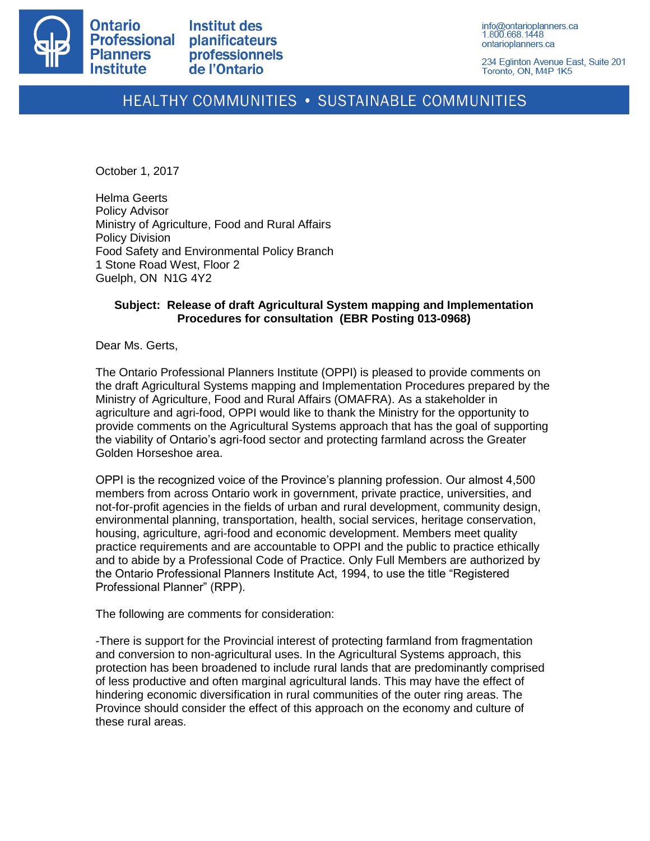

**Institut des planificateurs** professionnels de l'Ontario

info@ontarioplanners.ca 1.800.668.1448 ontarioplanners.ca

234 Eglinton Avenue East, Suite 201 Toronto, ON, M4P 1K5

## HEALTHY COMMUNITIES . SUSTAINABLE COMMUNITIES

October 1, 2017

Helma Geerts Policy Advisor Ministry of Agriculture, Food and Rural Affairs Policy Division Food Safety and Environmental Policy Branch 1 Stone Road West, Floor 2 Guelph, ON N1G 4Y2

## **Subject: Release of draft Agricultural System mapping and Implementation Procedures for consultation (EBR Posting 013-0968)**

Dear Ms. Gerts,

The Ontario Professional Planners Institute (OPPI) is pleased to provide comments on the draft Agricultural Systems mapping and Implementation Procedures prepared by the Ministry of Agriculture, Food and Rural Affairs (OMAFRA). As a stakeholder in agriculture and agri-food, OPPI would like to thank the Ministry for the opportunity to provide comments on the Agricultural Systems approach that has the goal of supporting the viability of Ontario's agri-food sector and protecting farmland across the Greater Golden Horseshoe area.

OPPI is the recognized voice of the Province's planning profession. Our almost 4,500 members from across Ontario work in government, private practice, universities, and not-for-profit agencies in the fields of urban and rural development, community design, environmental planning, transportation, health, social services, heritage conservation, housing, agriculture, agri-food and economic development. Members meet quality practice requirements and are accountable to OPPI and the public to practice ethically and to abide by a Professional Code of Practice. Only Full Members are authorized by the Ontario Professional Planners Institute Act, 1994, to use the title "Registered Professional Planner" (RPP).

The following are comments for consideration:

-There is support for the Provincial interest of protecting farmland from fragmentation and conversion to non-agricultural uses. In the Agricultural Systems approach, this protection has been broadened to include rural lands that are predominantly comprised of less productive and often marginal agricultural lands. This may have the effect of hindering economic diversification in rural communities of the outer ring areas. The Province should consider the effect of this approach on the economy and culture of these rural areas.